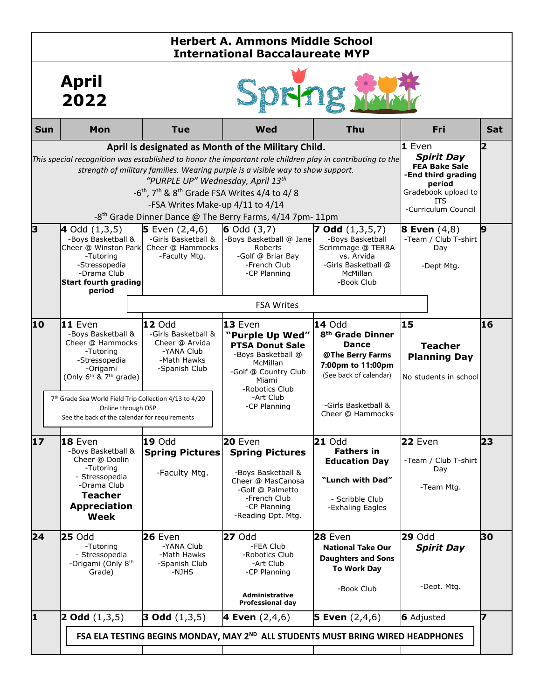| <b>Herbert A. Ammons Middle School</b><br><b>International Baccalaureate MYP</b>                                                                                                                                                                                                                                                                                                                                                                                                                      |                                                                                                                                                                                                                                                            |                                                                                               |                                                                                                                                                                        |                                                                                                                                                                      |                                                                                                                                                   |                         |  |
|-------------------------------------------------------------------------------------------------------------------------------------------------------------------------------------------------------------------------------------------------------------------------------------------------------------------------------------------------------------------------------------------------------------------------------------------------------------------------------------------------------|------------------------------------------------------------------------------------------------------------------------------------------------------------------------------------------------------------------------------------------------------------|-----------------------------------------------------------------------------------------------|------------------------------------------------------------------------------------------------------------------------------------------------------------------------|----------------------------------------------------------------------------------------------------------------------------------------------------------------------|---------------------------------------------------------------------------------------------------------------------------------------------------|-------------------------|--|
|                                                                                                                                                                                                                                                                                                                                                                                                                                                                                                       | <b>April</b><br>2022                                                                                                                                                                                                                                       |                                                                                               |                                                                                                                                                                        |                                                                                                                                                                      |                                                                                                                                                   |                         |  |
| Sun                                                                                                                                                                                                                                                                                                                                                                                                                                                                                                   | Mon                                                                                                                                                                                                                                                        | <b>Tue</b>                                                                                    | <b>Wed</b>                                                                                                                                                             | Thu                                                                                                                                                                  | Fri                                                                                                                                               | <b>Sat</b>              |  |
| April is designated as Month of the Military Child.<br>This special recognition was established to honor the important role children play in contributing to the<br>strength of military families. Wearing purple is a visible way to show support.<br>"PURPLE UP" Wednesday, April 13 <sup>th</sup><br>-6 <sup>th</sup> , 7 <sup>th</sup> & 8 <sup>th</sup> Grade FSA Writes 4/4 to 4/8<br>-FSA Writes Make-up 4/11 to 4/14<br>-8 <sup>th</sup> Grade Dinner Dance @ The Berry Farms, 4/14 7pm- 11pm |                                                                                                                                                                                                                                                            |                                                                                               |                                                                                                                                                                        |                                                                                                                                                                      | $1$ Even<br><b>Spirit Day</b><br><b>FEA Bake Sale</b><br>-End third grading<br>period<br>Gradebook upload to<br><b>ITS</b><br>-Curriculum Council | $\overline{\mathbf{2}}$ |  |
| 3                                                                                                                                                                                                                                                                                                                                                                                                                                                                                                     | $\blacktriangleleft$ Odd $(1,3,5)$<br>-Boys Basketball &<br>Cheer @ Winston Park<br>-Tutoring<br>-Stressopedia<br>-Drama Club<br><b>Start fourth grading</b><br>period                                                                                     | <b>5</b> Even $(2,4,6)$<br>-Girls Basketball &<br>Cheer @ Hammocks<br>-Faculty Mtg.           | 6 Odd $(3,7)$<br>-Boys Basketball @ Jane<br>Roberts<br>-Golf @ Briar Bay<br>-French Club<br>-CP Planning<br><b>FSA Writes</b>                                          | <b>7 Odd</b> $(1,3,5,7)$<br>-Boys Basketball<br>Scrimmage @ TERRA<br>vs. Arvida<br>-Girls Basketball @<br>McMillan<br>-Book Club                                     | <b>8 Even</b> $(4,8)$<br>-Team / Club T-shirt<br>Day<br>-Dept Mtg.                                                                                | 19                      |  |
| 10                                                                                                                                                                                                                                                                                                                                                                                                                                                                                                    | 11 Even<br>-Boys Basketball &<br>Cheer @ Hammocks<br>-Tutoring<br>-Stressopedia<br>-Origami<br>(Only $6th$ & $7th$ grade)<br>7th Grade Sea World Field Trip Collection 4/13 to 4/20<br>Online through OSP<br>See the back of the calendar for requirements | 12 Odd<br>-Girls Basketball &<br>Cheer @ Arvida<br>-YANA Club<br>-Math Hawks<br>-Spanish Club | 13 Even<br>"Purple Up Wed"<br><b>PTSA Donut Sale</b><br>-Boys Basketball @<br>McMillan<br>-Golf @ Country Club<br>Miami<br>-Robotics Club<br>-Art Club<br>-CP Planning | 14 Odd<br>8 <sup>th</sup> Grade Dinner<br><b>Dance</b><br>@The Berry Farms<br>7:00pm to 11:00pm<br>(See back of calendar)<br>-Girls Basketball &<br>Cheer @ Hammocks | 15<br><b>Teacher</b><br><b>Planning Day</b><br>No students in school                                                                              | 16                      |  |
| 17                                                                                                                                                                                                                                                                                                                                                                                                                                                                                                    | 18 Even<br>-Boys Basketball &<br>Cheer @ Doolin<br>-Tutoring<br>- Stressopedia<br>-Drama Club<br><b>Teacher</b><br><b>Appreciation</b><br>Week                                                                                                             | <b>19 Odd</b><br><b>Spring Pictures</b><br>-Faculty Mtg.                                      | 20 Even<br><b>Spring Pictures</b><br>-Boys Basketball &<br>Cheer @ MasCanosa<br>-Golf @ Palmetto<br>-French Club<br>-CP Planning<br>-Reading Dpt. Mtg.                 | 21 Odd<br><b>Fathers in</b><br><b>Education Day</b><br>"Lunch with Dad"<br>- Scribble Club<br>-Exhaling Eagles                                                       | 22 Even<br>-Team / Club T-shirt<br>Day<br>-Team Mtg.                                                                                              | 23                      |  |
| 24                                                                                                                                                                                                                                                                                                                                                                                                                                                                                                    | <b>25 Odd</b><br>-Tutoring<br>- Stressopedia<br>-Origami (Only 8 <sup>th</sup><br>Grade)                                                                                                                                                                   | <b>26 Even</b><br>-YANA Club<br>-Math Hawks<br>-Spanish Club<br>-NJHS                         | <b>27 Odd</b><br>-FEA Club<br>-Robotics Club<br>-Art Club<br>-CP Planning<br><b>Administrative</b><br><b>Professional day</b>                                          | 28 Even<br><b>National Take Our</b><br><b>Daughters and Sons</b><br><b>To Work Day</b><br>-Book Club                                                                 | <b>29 Odd</b><br><b>Spirit Day</b><br>-Dept. Mtg.                                                                                                 | 30                      |  |
| 1                                                                                                                                                                                                                                                                                                                                                                                                                                                                                                     | <b>2 Odd</b> $(1,3,5)$                                                                                                                                                                                                                                     | <b>3 Odd</b> $(1,3,5)$                                                                        | <b>4 Even</b> $(2,4,6)$<br>FSA ELA TESTING BEGINS MONDAY, MAY 2 <sup>ND</sup> ALL STUDENTS MUST BRING WIRED HEADPHONES                                                 | <b>5 Even</b> $(2,4,6)$                                                                                                                                              | <b>6</b> Adjusted                                                                                                                                 | 7                       |  |